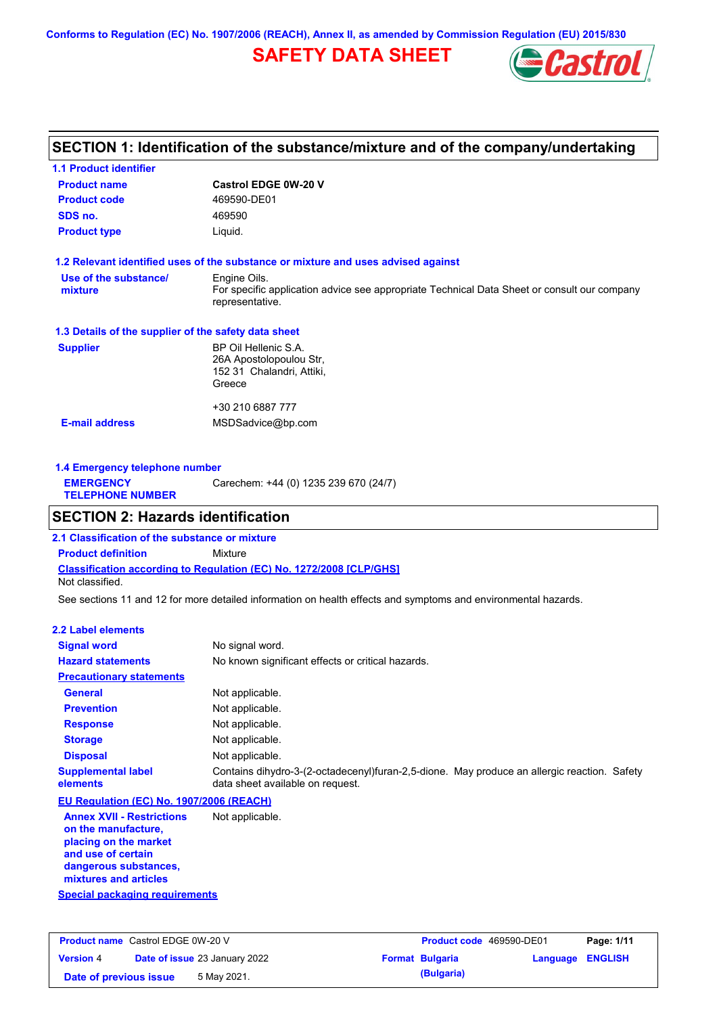**Conforms to Regulation (EC) No. 1907/2006 (REACH), Annex II, as amended by Commission Regulation (EU) 2015/830**

# **SAFETY DATA SHEET**



## **SECTION 1: Identification of the substance/mixture and of the company/undertaking**

| <b>1.1 Product identifier</b>                        |                                                                                                                |
|------------------------------------------------------|----------------------------------------------------------------------------------------------------------------|
| <b>Product name</b>                                  | <b>Castrol EDGE 0W-20 V</b>                                                                                    |
| <b>Product code</b>                                  | 469590-DE01                                                                                                    |
| SDS no.                                              | 469590                                                                                                         |
| <b>Product type</b>                                  | Liquid.                                                                                                        |
|                                                      | 1.2 Relevant identified uses of the substance or mixture and uses advised against                              |
| Use of the substance/                                | Engine Oils.                                                                                                   |
| mixture                                              | For specific application advice see appropriate Technical Data Sheet or consult our company<br>representative. |
| 1.3 Details of the supplier of the safety data sheet |                                                                                                                |
| <b>Supplier</b>                                      | BP Oil Hellenic S.A.                                                                                           |
|                                                      | 26A Apostolopoulou Str,                                                                                        |
|                                                      | 152 31 Chalandri, Attiki,                                                                                      |
|                                                      | Greece                                                                                                         |
|                                                      | +30 210 6887 777                                                                                               |
| <b>E-mail address</b>                                | MSDSadvice@bp.com                                                                                              |
|                                                      |                                                                                                                |
|                                                      |                                                                                                                |

| 1.4 Emergency telephone number              |                                       |  |
|---------------------------------------------|---------------------------------------|--|
| <b>EMERGENCY</b><br><b>TELEPHONE NUMBER</b> | Carechem: +44 (0) 1235 239 670 (24/7) |  |

## **SECTION 2: Hazards identification**

**Classification according to Regulation (EC) No. 1272/2008 [CLP/GHS] 2.1 Classification of the substance or mixture Product definition** Mixture Not classified.

See sections 11 and 12 for more detailed information on health effects and symptoms and environmental hazards.

#### **2.2 Label elements**

| на нимерските на                                        |                                                                                                                                 |
|---------------------------------------------------------|---------------------------------------------------------------------------------------------------------------------------------|
| <b>Signal word</b>                                      | No signal word.                                                                                                                 |
| <b>Hazard statements</b>                                | No known significant effects or critical hazards.                                                                               |
| <b>Precautionary statements</b>                         |                                                                                                                                 |
| <b>General</b>                                          | Not applicable.                                                                                                                 |
| <b>Prevention</b>                                       | Not applicable.                                                                                                                 |
| <b>Response</b>                                         | Not applicable.                                                                                                                 |
| <b>Storage</b>                                          | Not applicable.                                                                                                                 |
| <b>Disposal</b>                                         | Not applicable.                                                                                                                 |
| <b>Supplemental label</b><br>elements                   | Contains dihydro-3-(2-octadecenyl)furan-2,5-dione. May produce an allergic reaction. Safety<br>data sheet available on request. |
| EU Regulation (EC) No. 1907/2006 (REACH)                |                                                                                                                                 |
| <b>Annex XVII - Restrictions</b><br>on the manufacture, | Not applicable.                                                                                                                 |

**placing on the market and use of certain dangerous substances, mixtures and articles**

**Special packaging requirements**

| <b>Product name</b> Castrol EDGE 0W-20 V |  | <b>Product code</b> 469590-DE01      |  | Page: 1/11             |                         |  |
|------------------------------------------|--|--------------------------------------|--|------------------------|-------------------------|--|
| <b>Version 4</b>                         |  | <b>Date of issue 23 January 2022</b> |  | <b>Format Bulgaria</b> | <b>Language ENGLISH</b> |  |
| Date of previous issue                   |  | 5 May 2021.                          |  | (Bulgaria)             |                         |  |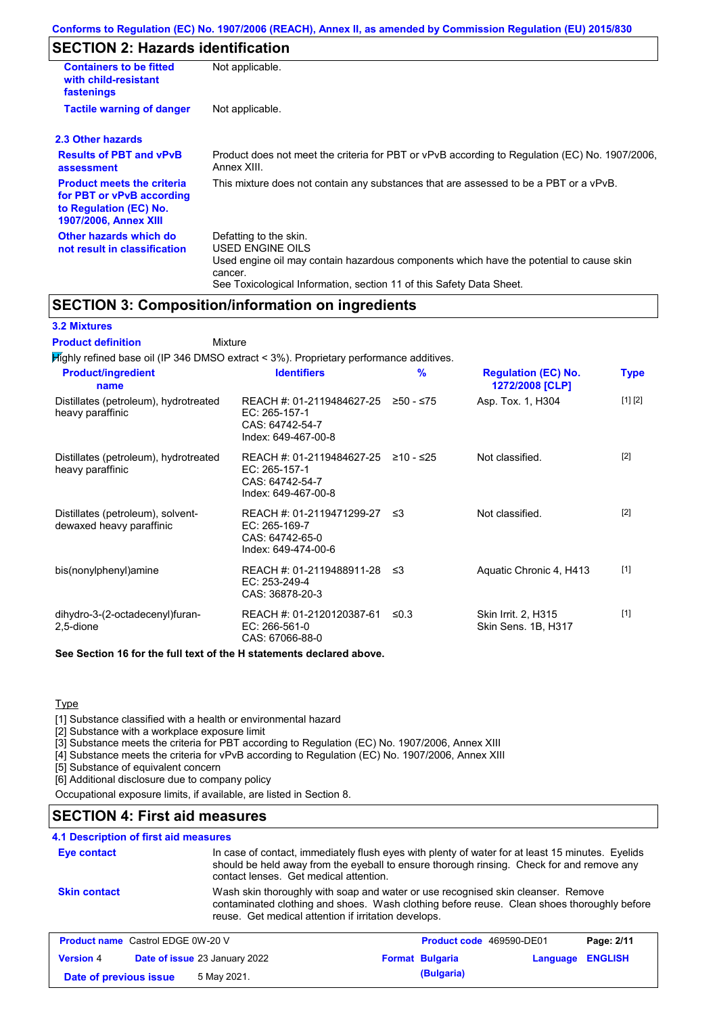# **SECTION 2: Hazards identification**

| <b>Containers to be fitted</b><br>with child-resistant<br>fastenings                                                     | Not applicable.                                                                                                                                                                                                          |  |  |
|--------------------------------------------------------------------------------------------------------------------------|--------------------------------------------------------------------------------------------------------------------------------------------------------------------------------------------------------------------------|--|--|
| <b>Tactile warning of danger</b>                                                                                         | Not applicable.                                                                                                                                                                                                          |  |  |
| 2.3 Other hazards                                                                                                        |                                                                                                                                                                                                                          |  |  |
| <b>Results of PBT and vPvB</b><br>assessment                                                                             | Product does not meet the criteria for PBT or vPvB according to Regulation (EC) No. 1907/2006.<br>Annex XIII.                                                                                                            |  |  |
| <b>Product meets the criteria</b><br>for PBT or vPvB according<br>to Regulation (EC) No.<br><b>1907/2006, Annex XIII</b> | This mixture does not contain any substances that are assessed to be a PBT or a vPvB.                                                                                                                                    |  |  |
| Other hazards which do<br>not result in classification                                                                   | Defatting to the skin.<br>USED ENGINE OILS<br>Used engine oil may contain hazardous components which have the potential to cause skin<br>cancer.<br>See Toxicological Information, section 11 of this Safety Data Sheet. |  |  |

## **SECTION 3: Composition/information on ingredients**

**Mixture** 

### **3.2 Mixtures**

**Product definition**

| Mighly refined base oil (IP 346 DMSO extract < 3%). Proprietary performance additives. |                                                                                         |            |                                               |             |
|----------------------------------------------------------------------------------------|-----------------------------------------------------------------------------------------|------------|-----------------------------------------------|-------------|
| <b>Product/ingredient</b><br>name                                                      | <b>Identifiers</b>                                                                      | %          | <b>Regulation (EC) No.</b><br>1272/2008 [CLP] | <b>Type</b> |
| Distillates (petroleum), hydrotreated<br>heavy paraffinic                              | REACH #: 01-2119484627-25<br>EC: 265-157-1<br>CAS: 64742-54-7<br>Index: 649-467-00-8    | ≥50 - ≤75  | Asp. Tox. 1, H304                             | [1] [2]     |
| Distillates (petroleum), hydrotreated<br>heavy paraffinic                              | REACH #: 01-2119484627-25<br>EC: 265-157-1<br>CAS: 64742-54-7<br>Index: 649-467-00-8    | ≥10 - ≤25  | Not classified.                               | $[2]$       |
| Distillates (petroleum), solvent-<br>dewaxed heavy paraffinic                          | REACH #: 01-2119471299-27 ≤3<br>EC: 265-169-7<br>CAS: 64742-65-0<br>Index: 649-474-00-6 |            | Not classified.                               | $[2]$       |
| bis(nonylphenyl)amine                                                                  | REACH #: 01-2119488911-28 ≤3<br>EC: 253-249-4<br>CAS: 36878-20-3                        |            | Aquatic Chronic 4, H413                       | $[1]$       |
| dihydro-3-(2-octadecenyl)furan-<br>2,5-dione                                           | REACH #: 01-2120120387-61<br>$EC: 266-561-0$<br>CAS: 67066-88-0                         | $\leq 0.3$ | Skin Irrit. 2, H315<br>Skin Sens. 1B, H317    | $[1]$       |
| See Section 16 for the full text of the H statements declared above.                   |                                                                                         |            |                                               |             |

**Type** 

[1] Substance classified with a health or environmental hazard

[2] Substance with a workplace exposure limit

[3] Substance meets the criteria for PBT according to Regulation (EC) No. 1907/2006, Annex XIII

[4] Substance meets the criteria for vPvB according to Regulation (EC) No. 1907/2006, Annex XIII

[5] Substance of equivalent concern

[6] Additional disclosure due to company policy

Occupational exposure limits, if available, are listed in Section 8.

## **SECTION 4: First aid measures**

### **4.1 Description of first aid measures**

| Eye contact                              | contact lenses. Get medical attention.               | In case of contact, immediately flush eyes with plenty of water for at least 15 minutes. Eyelids<br>should be held away from the eyeball to ensure thorough rinsing. Check for and remove any |                         |
|------------------------------------------|------------------------------------------------------|-----------------------------------------------------------------------------------------------------------------------------------------------------------------------------------------------|-------------------------|
| <b>Skin contact</b>                      | reuse. Get medical attention if irritation develops. | Wash skin thoroughly with soap and water or use recognised skin cleanser. Remove<br>contaminated clothing and shoes. Wash clothing before reuse. Clean shoes thoroughly before                |                         |
| <b>Product name Castrol EDGE 0W-20 V</b> |                                                      | <b>Product code</b> 469590-DE01                                                                                                                                                               | P <sub>2</sub> na: 2/11 |

| <b>Product name</b> Castrol EDGE 0W-20 V |                        | <b>Product code</b> 469590-DE01      |  | Page: 2/11             |                  |  |
|------------------------------------------|------------------------|--------------------------------------|--|------------------------|------------------|--|
| <b>Version 4</b>                         |                        | <b>Date of issue 23 January 2022</b> |  | <b>Format Bulgaria</b> | Language ENGLISH |  |
|                                          | Date of previous issue | 5 May 2021.                          |  | (Bulgaria)             |                  |  |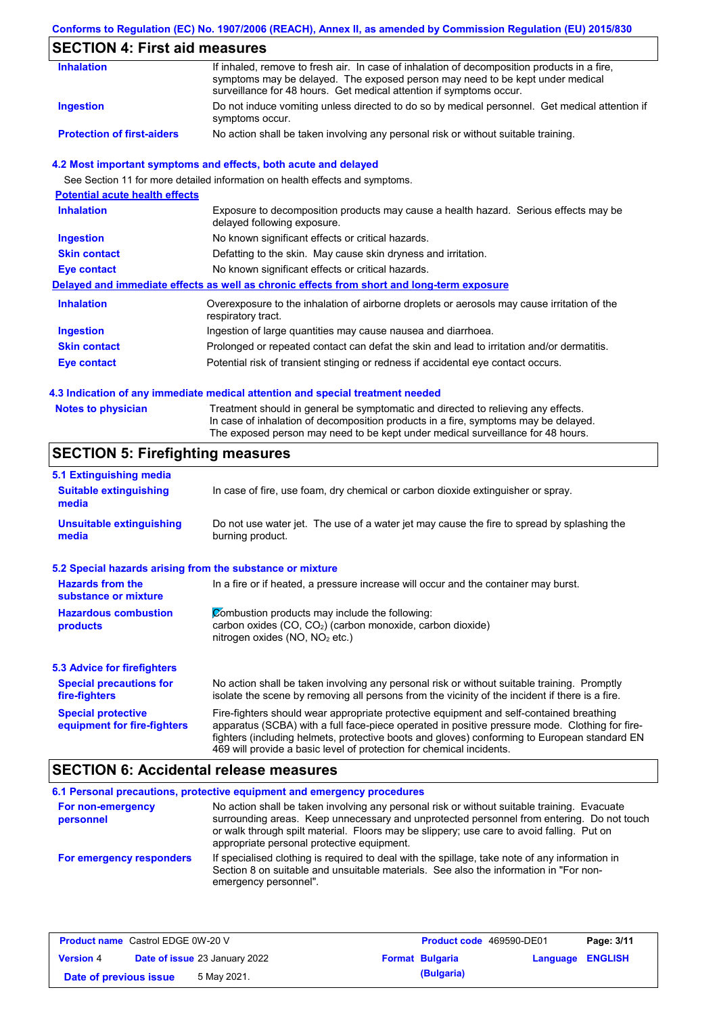### **Conforms to Regulation (EC) No. 1907/2006 (REACH), Annex II, as amended by Commission Regulation (EU) 2015/830**

# **SECTION 4: First aid measures**

| <b>Inhalation</b>                 | If inhaled, remove to fresh air. In case of inhalation of decomposition products in a fire,<br>symptoms may be delayed. The exposed person may need to be kept under medical<br>surveillance for 48 hours. Get medical attention if symptoms occur. |
|-----------------------------------|-----------------------------------------------------------------------------------------------------------------------------------------------------------------------------------------------------------------------------------------------------|
| Ingestion                         | Do not induce vomiting unless directed to do so by medical personnel. Get medical attention if<br>symptoms occur.                                                                                                                                   |
| <b>Protection of first-aiders</b> | No action shall be taken involving any personal risk or without suitable training.                                                                                                                                                                  |

#### **4.2 Most important symptoms and effects, both acute and delayed**

See Section 11 for more detailed information on health effects and symptoms.

| <b>Potential acute health effects</b> |                                                                                                                     |
|---------------------------------------|---------------------------------------------------------------------------------------------------------------------|
| <b>Inhalation</b>                     | Exposure to decomposition products may cause a health hazard. Serious effects may be<br>delayed following exposure. |
| <b>Ingestion</b>                      | No known significant effects or critical hazards.                                                                   |
| <b>Skin contact</b>                   | Defatting to the skin. May cause skin dryness and irritation.                                                       |
| Eye contact                           | No known significant effects or critical hazards.                                                                   |
|                                       | Delayed and immediate effects as well as chronic effects from short and long-term exposure                          |
| <b>Inhalation</b>                     | Overexposure to the inhalation of airborne droplets or aerosols may cause irritation of the<br>respiratory tract.   |
| <b>Ingestion</b>                      | Ingestion of large quantities may cause nausea and diarrhoea.                                                       |
| <b>Skin contact</b>                   | Prolonged or repeated contact can defat the skin and lead to irritation and/or dermatitis.                          |
| Eye contact                           | Potential risk of transient stinging or redness if accidental eye contact occurs.                                   |
|                                       |                                                                                                                     |

#### **4.3 Indication of any immediate medical attention and special treatment needed**

| <b>Notes to physician</b> | Treatment should in general be symptomatic and directed to relieving any effects.   |
|---------------------------|-------------------------------------------------------------------------------------|
|                           | In case of inhalation of decomposition products in a fire, symptoms may be delayed. |
|                           | The exposed person may need to be kept under medical surveillance for 48 hours.     |

# **SECTION 5: Firefighting measures**

| 5.1 Extinguishing media                                   |                                                                                                                                                                                                                                                                                                                                                                   |
|-----------------------------------------------------------|-------------------------------------------------------------------------------------------------------------------------------------------------------------------------------------------------------------------------------------------------------------------------------------------------------------------------------------------------------------------|
| <b>Suitable extinguishing</b><br>media                    | In case of fire, use foam, dry chemical or carbon dioxide extinguisher or spray.                                                                                                                                                                                                                                                                                  |
| <b>Unsuitable extinguishing</b><br>media                  | Do not use water jet. The use of a water jet may cause the fire to spread by splashing the<br>burning product.                                                                                                                                                                                                                                                    |
| 5.2 Special hazards arising from the substance or mixture |                                                                                                                                                                                                                                                                                                                                                                   |
| <b>Hazards from the</b><br>substance or mixture           | In a fire or if heated, a pressure increase will occur and the container may burst.                                                                                                                                                                                                                                                                               |
| <b>Hazardous combustion</b><br>products                   | Combustion products may include the following:<br>carbon oxides (CO, CO <sub>2</sub> ) (carbon monoxide, carbon dioxide)<br>nitrogen oxides (NO, NO <sub>2</sub> etc.)                                                                                                                                                                                            |
| <b>5.3 Advice for firefighters</b>                        |                                                                                                                                                                                                                                                                                                                                                                   |
| <b>Special precautions for</b><br>fire-fighters           | No action shall be taken involving any personal risk or without suitable training. Promptly<br>isolate the scene by removing all persons from the vicinity of the incident if there is a fire.                                                                                                                                                                    |
| <b>Special protective</b><br>equipment for fire-fighters  | Fire-fighters should wear appropriate protective equipment and self-contained breathing<br>apparatus (SCBA) with a full face-piece operated in positive pressure mode. Clothing for fire-<br>fighters (including helmets, protective boots and gloves) conforming to European standard EN<br>469 will provide a basic level of protection for chemical incidents. |

## **SECTION 6: Accidental release measures**

|                                | 6.1 Personal precautions, protective equipment and emergency procedures                                                                                                                                                                                                                                                             |
|--------------------------------|-------------------------------------------------------------------------------------------------------------------------------------------------------------------------------------------------------------------------------------------------------------------------------------------------------------------------------------|
| For non-emergency<br>personnel | No action shall be taken involving any personal risk or without suitable training. Evacuate<br>surrounding areas. Keep unnecessary and unprotected personnel from entering. Do not touch<br>or walk through spilt material. Floors may be slippery; use care to avoid falling. Put on<br>appropriate personal protective equipment. |
| For emergency responders       | If specialised clothing is required to deal with the spillage, take note of any information in<br>Section 8 on suitable and unsuitable materials. See also the information in "For non-<br>emergency personnel".                                                                                                                    |

| <b>Product name</b> Castrol EDGE 0W-20 V |                                      | <b>Product code</b> 469590-DE01 |                        | Page: 3/11              |  |  |
|------------------------------------------|--------------------------------------|---------------------------------|------------------------|-------------------------|--|--|
| <b>Version 4</b>                         | <b>Date of issue 23 January 2022</b> |                                 | <b>Format Bulgaria</b> | <b>Language ENGLISH</b> |  |  |
| Date of previous issue                   |                                      | 5 May 2021.                     |                        | (Bulgaria)              |  |  |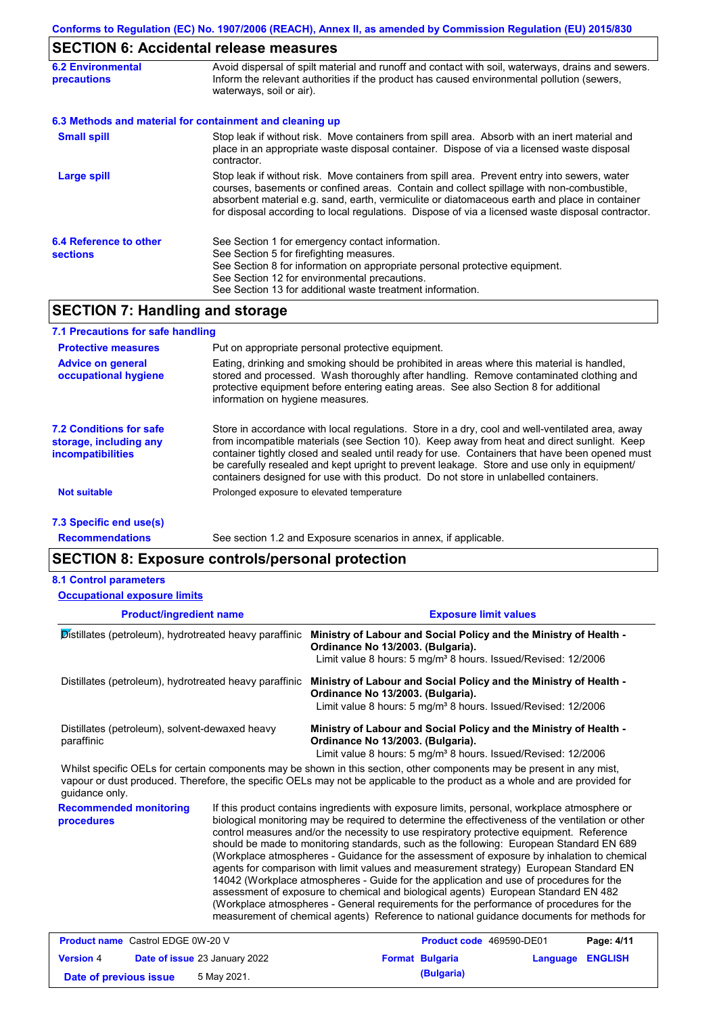# **SECTION 6: Accidental release measures**

| <b>6.2 Environmental</b><br><b>precautions</b> | Avoid dispersal of spilt material and runoff and contact with soil, waterways, drains and sewers.<br>Inform the relevant authorities if the product has caused environmental pollution (sewers,<br>waterways, soil or air).                                                                                                                                                                    |
|------------------------------------------------|------------------------------------------------------------------------------------------------------------------------------------------------------------------------------------------------------------------------------------------------------------------------------------------------------------------------------------------------------------------------------------------------|
|                                                | 6.3 Methods and material for containment and cleaning up                                                                                                                                                                                                                                                                                                                                       |
| <b>Small spill</b>                             | Stop leak if without risk. Move containers from spill area. Absorb with an inert material and<br>place in an appropriate waste disposal container. Dispose of via a licensed waste disposal<br>contractor.                                                                                                                                                                                     |
| <b>Large spill</b>                             | Stop leak if without risk. Move containers from spill area. Prevent entry into sewers, water<br>courses, basements or confined areas. Contain and collect spillage with non-combustible,<br>absorbent material e.g. sand, earth, vermiculite or diatomaceous earth and place in container<br>for disposal according to local regulations. Dispose of via a licensed waste disposal contractor. |
| 6.4 Reference to other<br><b>sections</b>      | See Section 1 for emergency contact information.<br>See Section 5 for firefighting measures.<br>See Section 8 for information on appropriate personal protective equipment.<br>See Section 12 for environmental precautions.<br>See Section 13 for additional waste treatment information.                                                                                                     |

# **SECTION 7: Handling and storage**

| 7.1 Precautions for safe handling                                                    |                                                                                                                                                                                                                                                                                                                                                                                                                                                                                          |
|--------------------------------------------------------------------------------------|------------------------------------------------------------------------------------------------------------------------------------------------------------------------------------------------------------------------------------------------------------------------------------------------------------------------------------------------------------------------------------------------------------------------------------------------------------------------------------------|
| <b>Protective measures</b>                                                           | Put on appropriate personal protective equipment.                                                                                                                                                                                                                                                                                                                                                                                                                                        |
| <b>Advice on general</b><br>occupational hygiene                                     | Eating, drinking and smoking should be prohibited in areas where this material is handled,<br>stored and processed. Wash thoroughly after handling. Remove contaminated clothing and<br>protective equipment before entering eating areas. See also Section 8 for additional<br>information on hygiene measures.                                                                                                                                                                         |
| <b>7.2 Conditions for safe</b><br>storage, including any<br><b>incompatibilities</b> | Store in accordance with local regulations. Store in a dry, cool and well-ventilated area, away<br>from incompatible materials (see Section 10). Keep away from heat and direct sunlight. Keep<br>container tightly closed and sealed until ready for use. Containers that have been opened must<br>be carefully resealed and kept upright to prevent leakage. Store and use only in equipment/<br>containers designed for use with this product. Do not store in unlabelled containers. |
| <b>Not suitable</b>                                                                  | Prolonged exposure to elevated temperature                                                                                                                                                                                                                                                                                                                                                                                                                                               |
| 7.3 Specific end use(s)                                                              |                                                                                                                                                                                                                                                                                                                                                                                                                                                                                          |

**Recommendations**

See section 1.2 and Exposure scenarios in annex, if applicable.

## **SECTION 8: Exposure controls/personal protection**

|  |  | <b>8.1 Control parameters</b> |
|--|--|-------------------------------|
|--|--|-------------------------------|

| <b>Occupational exposure limits</b>                          |  |                                                                                                                                                                                                                                                                                                                                                                                                                                                                                                                                                                                                                                                                                                                                                                                                                                                                                                                                                        |  |  |  |
|--------------------------------------------------------------|--|--------------------------------------------------------------------------------------------------------------------------------------------------------------------------------------------------------------------------------------------------------------------------------------------------------------------------------------------------------------------------------------------------------------------------------------------------------------------------------------------------------------------------------------------------------------------------------------------------------------------------------------------------------------------------------------------------------------------------------------------------------------------------------------------------------------------------------------------------------------------------------------------------------------------------------------------------------|--|--|--|
| <b>Product/ingredient name</b>                               |  | <b>Exposure limit values</b>                                                                                                                                                                                                                                                                                                                                                                                                                                                                                                                                                                                                                                                                                                                                                                                                                                                                                                                           |  |  |  |
| Distillates (petroleum), hydrotreated heavy paraffinic       |  | Ministry of Labour and Social Policy and the Ministry of Health -<br>Ordinance No 13/2003. (Bulgaria).<br>Limit value 8 hours: 5 mg/m <sup>3</sup> 8 hours. Issued/Revised: 12/2006                                                                                                                                                                                                                                                                                                                                                                                                                                                                                                                                                                                                                                                                                                                                                                    |  |  |  |
| Distillates (petroleum), hydrotreated heavy paraffinic       |  | Ministry of Labour and Social Policy and the Ministry of Health -<br>Ordinance No 13/2003. (Bulgaria).<br>Limit value 8 hours: 5 mg/m <sup>3</sup> 8 hours. Issued/Revised: 12/2006                                                                                                                                                                                                                                                                                                                                                                                                                                                                                                                                                                                                                                                                                                                                                                    |  |  |  |
| Distillates (petroleum), solvent-dewaxed heavy<br>paraffinic |  | Ministry of Labour and Social Policy and the Ministry of Health -<br>Ordinance No 13/2003. (Bulgaria).<br>Limit value 8 hours: 5 mg/m <sup>3</sup> 8 hours. Issued/Revised: 12/2006                                                                                                                                                                                                                                                                                                                                                                                                                                                                                                                                                                                                                                                                                                                                                                    |  |  |  |
| guidance only.                                               |  | Whilst specific OELs for certain components may be shown in this section, other components may be present in any mist,<br>vapour or dust produced. Therefore, the specific OELs may not be applicable to the product as a whole and are provided for                                                                                                                                                                                                                                                                                                                                                                                                                                                                                                                                                                                                                                                                                                   |  |  |  |
| <b>Recommended monitoring</b><br>procedures                  |  | If this product contains ingredients with exposure limits, personal, workplace atmosphere or<br>biological monitoring may be required to determine the effectiveness of the ventilation or other<br>control measures and/or the necessity to use respiratory protective equipment. Reference<br>should be made to monitoring standards, such as the following: European Standard EN 689<br>(Workplace atmospheres - Guidance for the assessment of exposure by inhalation to chemical<br>agents for comparison with limit values and measurement strategy) European Standard EN<br>14042 (Workplace atmospheres - Guide for the application and use of procedures for the<br>assessment of exposure to chemical and biological agents) European Standard EN 482<br>(Workplace atmospheres - General requirements for the performance of procedures for the<br>measurement of chemical agents) Reference to national guidance documents for methods for |  |  |  |
| <b>Product name</b> Castrol EDGE 0W-20 V                     |  | Page: $4/11$<br>Product code 469590-DE01                                                                                                                                                                                                                                                                                                                                                                                                                                                                                                                                                                                                                                                                                                                                                                                                                                                                                                               |  |  |  |

| <b>Product name</b> Castrol EDGE 0W-20 V                 |  |                        | <b>Product code</b> 469590-DE01 |  | Page: 4/11 |
|----------------------------------------------------------|--|------------------------|---------------------------------|--|------------|
| <b>Version 4</b><br><b>Date of issue 23 January 2022</b> |  | <b>Format Bulgaria</b> | Language ENGLISH                |  |            |
| 5 May 2021.<br>Date of previous issue                    |  |                        | (Bulgaria)                      |  |            |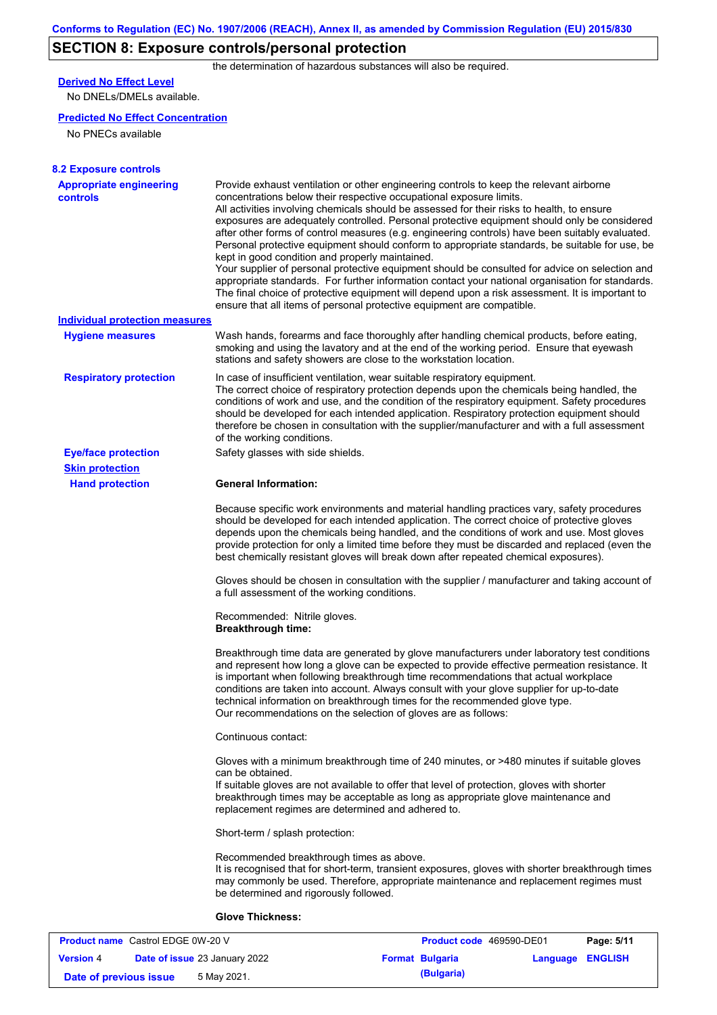# **SECTION 8: Exposure controls/personal protection**

the determination of hazardous substances will also be required.

## **Derived No Effect Level**

No DNELs/DMELs available.

#### **Predicted No Effect Concentration**

No PNECs available

| <b>8.2 Exposure controls</b>               |                                                                                                                                                                                                                                                                                                                                                                                                                                                                                                                                                                                                                                                                                                                                                                                                                                                                                                                                                                                                         |
|--------------------------------------------|---------------------------------------------------------------------------------------------------------------------------------------------------------------------------------------------------------------------------------------------------------------------------------------------------------------------------------------------------------------------------------------------------------------------------------------------------------------------------------------------------------------------------------------------------------------------------------------------------------------------------------------------------------------------------------------------------------------------------------------------------------------------------------------------------------------------------------------------------------------------------------------------------------------------------------------------------------------------------------------------------------|
| <b>Appropriate engineering</b><br>controls | Provide exhaust ventilation or other engineering controls to keep the relevant airborne<br>concentrations below their respective occupational exposure limits.<br>All activities involving chemicals should be assessed for their risks to health, to ensure<br>exposures are adequately controlled. Personal protective equipment should only be considered<br>after other forms of control measures (e.g. engineering controls) have been suitably evaluated.<br>Personal protective equipment should conform to appropriate standards, be suitable for use, be<br>kept in good condition and properly maintained.<br>Your supplier of personal protective equipment should be consulted for advice on selection and<br>appropriate standards. For further information contact your national organisation for standards.<br>The final choice of protective equipment will depend upon a risk assessment. It is important to<br>ensure that all items of personal protective equipment are compatible. |
| <b>Individual protection measures</b>      |                                                                                                                                                                                                                                                                                                                                                                                                                                                                                                                                                                                                                                                                                                                                                                                                                                                                                                                                                                                                         |
| <b>Hygiene measures</b>                    | Wash hands, forearms and face thoroughly after handling chemical products, before eating,<br>smoking and using the lavatory and at the end of the working period. Ensure that eyewash<br>stations and safety showers are close to the workstation location.                                                                                                                                                                                                                                                                                                                                                                                                                                                                                                                                                                                                                                                                                                                                             |
| <b>Respiratory protection</b>              | In case of insufficient ventilation, wear suitable respiratory equipment.<br>The correct choice of respiratory protection depends upon the chemicals being handled, the<br>conditions of work and use, and the condition of the respiratory equipment. Safety procedures<br>should be developed for each intended application. Respiratory protection equipment should<br>therefore be chosen in consultation with the supplier/manufacturer and with a full assessment<br>of the working conditions.                                                                                                                                                                                                                                                                                                                                                                                                                                                                                                   |
| <b>Eye/face protection</b>                 | Safety glasses with side shields.                                                                                                                                                                                                                                                                                                                                                                                                                                                                                                                                                                                                                                                                                                                                                                                                                                                                                                                                                                       |
| <b>Skin protection</b>                     |                                                                                                                                                                                                                                                                                                                                                                                                                                                                                                                                                                                                                                                                                                                                                                                                                                                                                                                                                                                                         |
| <b>Hand protection</b>                     | <b>General Information:</b>                                                                                                                                                                                                                                                                                                                                                                                                                                                                                                                                                                                                                                                                                                                                                                                                                                                                                                                                                                             |
|                                            | Because specific work environments and material handling practices vary, safety procedures<br>should be developed for each intended application. The correct choice of protective gloves<br>depends upon the chemicals being handled, and the conditions of work and use. Most gloves<br>provide protection for only a limited time before they must be discarded and replaced (even the<br>best chemically resistant gloves will break down after repeated chemical exposures).                                                                                                                                                                                                                                                                                                                                                                                                                                                                                                                        |
|                                            | Gloves should be chosen in consultation with the supplier / manufacturer and taking account of<br>a full assessment of the working conditions.                                                                                                                                                                                                                                                                                                                                                                                                                                                                                                                                                                                                                                                                                                                                                                                                                                                          |
|                                            | Recommended: Nitrile gloves.<br><b>Breakthrough time:</b>                                                                                                                                                                                                                                                                                                                                                                                                                                                                                                                                                                                                                                                                                                                                                                                                                                                                                                                                               |
|                                            | Breakthrough time data are generated by glove manufacturers under laboratory test conditions<br>and represent how long a glove can be expected to provide effective permeation resistance. It<br>is important when following breakthrough time recommendations that actual workplace<br>conditions are taken into account. Always consult with your glove supplier for up-to-date<br>technical information on breakthrough times for the recommended glove type.<br>Our recommendations on the selection of gloves are as follows:                                                                                                                                                                                                                                                                                                                                                                                                                                                                      |
|                                            | Continuous contact:                                                                                                                                                                                                                                                                                                                                                                                                                                                                                                                                                                                                                                                                                                                                                                                                                                                                                                                                                                                     |
|                                            | Gloves with a minimum breakthrough time of 240 minutes, or >480 minutes if suitable gloves<br>can be obtained.<br>If suitable gloves are not available to offer that level of protection, gloves with shorter<br>breakthrough times may be acceptable as long as appropriate glove maintenance and<br>replacement regimes are determined and adhered to.                                                                                                                                                                                                                                                                                                                                                                                                                                                                                                                                                                                                                                                |
|                                            | Short-term / splash protection:                                                                                                                                                                                                                                                                                                                                                                                                                                                                                                                                                                                                                                                                                                                                                                                                                                                                                                                                                                         |
|                                            | Recommended breakthrough times as above.<br>It is recognised that for short-term, transient exposures, gloves with shorter breakthrough times<br>may commonly be used. Therefore, appropriate maintenance and replacement regimes must<br>be determined and rigorously followed.                                                                                                                                                                                                                                                                                                                                                                                                                                                                                                                                                                                                                                                                                                                        |
|                                            | <b>Glove Thickness:</b>                                                                                                                                                                                                                                                                                                                                                                                                                                                                                                                                                                                                                                                                                                                                                                                                                                                                                                                                                                                 |

| <b>Product name</b> Castrol EDGE 0W-20 V |  | <b>Product code</b> 469590-DE01      |  | Page: 5/11             |                  |  |
|------------------------------------------|--|--------------------------------------|--|------------------------|------------------|--|
| <b>Version 4</b>                         |  | <b>Date of issue 23 January 2022</b> |  | <b>Format Bulgaria</b> | Language ENGLISH |  |
| Date of previous issue                   |  | 5 May 2021.                          |  | (Bulgaria)             |                  |  |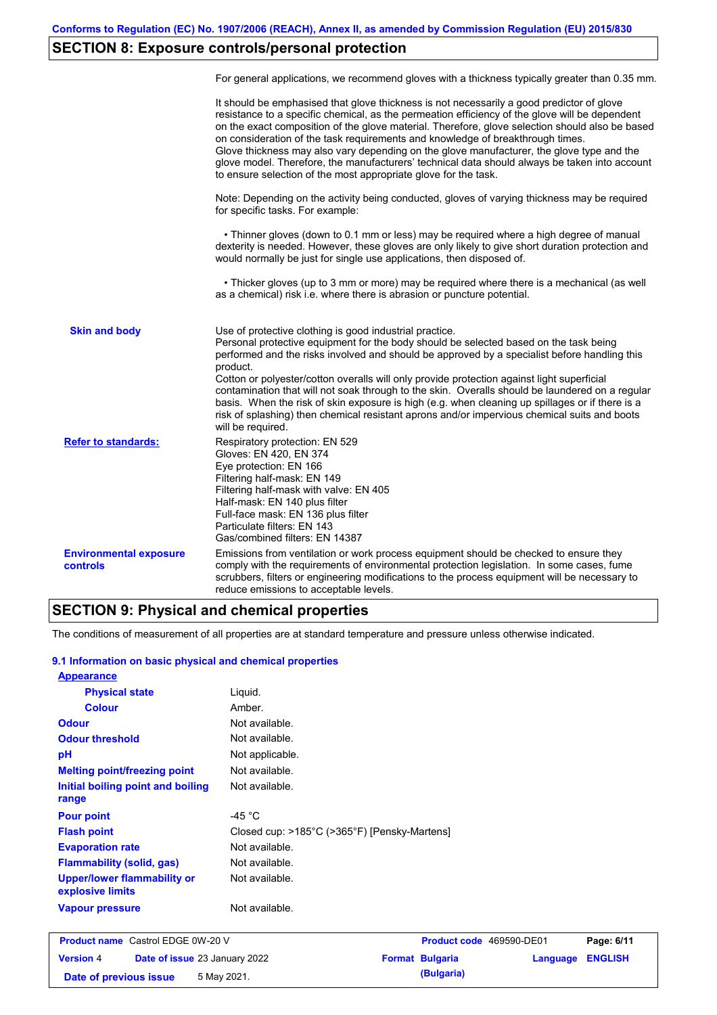# **SECTION 8: Exposure controls/personal protection**

|                                           | For general applications, we recommend gloves with a thickness typically greater than 0.35 mm.                                                                                                                                                                                                                                                                                                                                                                                                                                                                                                                                                                                        |
|-------------------------------------------|---------------------------------------------------------------------------------------------------------------------------------------------------------------------------------------------------------------------------------------------------------------------------------------------------------------------------------------------------------------------------------------------------------------------------------------------------------------------------------------------------------------------------------------------------------------------------------------------------------------------------------------------------------------------------------------|
|                                           | It should be emphasised that glove thickness is not necessarily a good predictor of glove<br>resistance to a specific chemical, as the permeation efficiency of the glove will be dependent<br>on the exact composition of the glove material. Therefore, glove selection should also be based<br>on consideration of the task requirements and knowledge of breakthrough times.<br>Glove thickness may also vary depending on the glove manufacturer, the glove type and the<br>glove model. Therefore, the manufacturers' technical data should always be taken into account<br>to ensure selection of the most appropriate glove for the task.                                     |
|                                           | Note: Depending on the activity being conducted, gloves of varying thickness may be required<br>for specific tasks. For example:                                                                                                                                                                                                                                                                                                                                                                                                                                                                                                                                                      |
|                                           | • Thinner gloves (down to 0.1 mm or less) may be required where a high degree of manual<br>dexterity is needed. However, these gloves are only likely to give short duration protection and<br>would normally be just for single use applications, then disposed of.                                                                                                                                                                                                                                                                                                                                                                                                                  |
|                                           | • Thicker gloves (up to 3 mm or more) may be required where there is a mechanical (as well<br>as a chemical) risk i.e. where there is abrasion or puncture potential.                                                                                                                                                                                                                                                                                                                                                                                                                                                                                                                 |
| <b>Skin and body</b>                      | Use of protective clothing is good industrial practice.<br>Personal protective equipment for the body should be selected based on the task being<br>performed and the risks involved and should be approved by a specialist before handling this<br>product.<br>Cotton or polyester/cotton overalls will only provide protection against light superficial<br>contamination that will not soak through to the skin. Overalls should be laundered on a regular<br>basis. When the risk of skin exposure is high (e.g. when cleaning up spillages or if there is a<br>risk of splashing) then chemical resistant aprons and/or impervious chemical suits and boots<br>will be required. |
| <b>Refer to standards:</b>                | Respiratory protection: EN 529<br>Gloves: EN 420, EN 374<br>Eye protection: EN 166<br>Filtering half-mask: EN 149<br>Filtering half-mask with valve: EN 405<br>Half-mask: EN 140 plus filter<br>Full-face mask: EN 136 plus filter<br>Particulate filters: EN 143<br>Gas/combined filters: EN 14387                                                                                                                                                                                                                                                                                                                                                                                   |
| <b>Environmental exposure</b><br>controls | Emissions from ventilation or work process equipment should be checked to ensure they<br>comply with the requirements of environmental protection legislation. In some cases, fume<br>scrubbers, filters or engineering modifications to the process equipment will be necessary to<br>reduce emissions to acceptable levels.                                                                                                                                                                                                                                                                                                                                                         |

## **SECTION 9: Physical and chemical properties**

The conditions of measurement of all properties are at standard temperature and pressure unless otherwise indicated.

### **9.1 Information on basic physical and chemical properties**

| <b>Appearance</b>                               |                                              |
|-------------------------------------------------|----------------------------------------------|
| <b>Physical state</b>                           | Liquid.                                      |
| <b>Colour</b>                                   | Amber.                                       |
| <b>Odour</b>                                    | Not available.                               |
| <b>Odour threshold</b>                          | Not available.                               |
| pH                                              | Not applicable.                              |
| <b>Melting point/freezing point</b>             | Not available.                               |
| Initial boiling point and boiling<br>range      | Not available.                               |
| <b>Pour point</b>                               | -45 $^{\circ}$ C                             |
| <b>Flash point</b>                              | Closed cup: >185°C (>365°F) [Pensky-Martens] |
| <b>Evaporation rate</b>                         | Not available.                               |
| <b>Flammability (solid, gas)</b>                | Not available.                               |
| Upper/lower flammability or<br>explosive limits | Not available.                               |
| <b>Vapour pressure</b>                          | Not available.                               |

| <b>Product name</b> Castrol EDGE 0W-20 V |  | <b>Product code</b> 469590-DE01      |  | Page: 6/11             |                         |  |
|------------------------------------------|--|--------------------------------------|--|------------------------|-------------------------|--|
| <b>Version 4</b>                         |  | <b>Date of issue 23 January 2022</b> |  | <b>Format Bulgaria</b> | <b>Language ENGLISH</b> |  |
| Date of previous issue                   |  | 5 May 2021.                          |  | (Bulgaria)             |                         |  |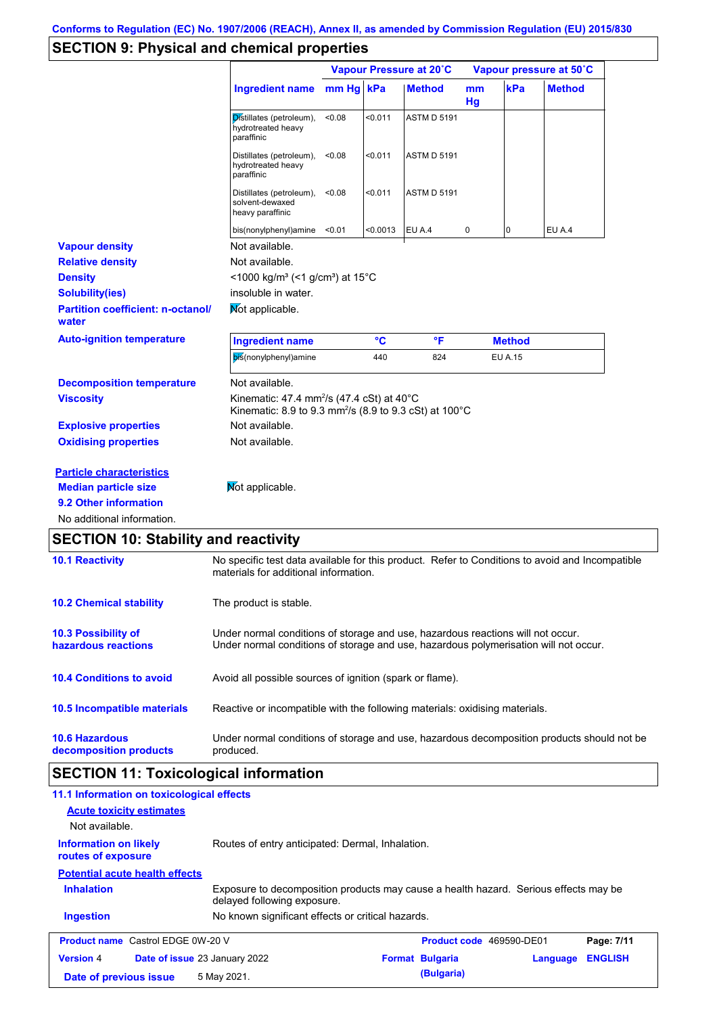# **SECTION 9: Physical and chemical properties**

|                                                   |                                                                                                                                       | Vapour Pressure at 20°C |          |                    | Vapour pressure at 50°C |                |               |
|---------------------------------------------------|---------------------------------------------------------------------------------------------------------------------------------------|-------------------------|----------|--------------------|-------------------------|----------------|---------------|
|                                                   | <b>Ingredient name</b>                                                                                                                | mm Hg kPa               |          | <b>Method</b>      | mm<br>Hg                | kPa            | <b>Method</b> |
|                                                   | Distillates (petroleum),<br>hydrotreated heavy<br>paraffinic                                                                          | <0.08                   | < 0.011  | <b>ASTM D 5191</b> |                         |                |               |
|                                                   | Distillates (petroleum),<br>hydrotreated heavy<br>paraffinic                                                                          | < 0.08                  | < 0.011  | <b>ASTM D 5191</b> |                         |                |               |
|                                                   | Distillates (petroleum),<br>solvent-dewaxed<br>heavy paraffinic                                                                       | < 0.08                  | < 0.011  | <b>ASTM D 5191</b> |                         |                |               |
|                                                   | bis(nonylphenyl)amine                                                                                                                 | < 0.01                  | < 0.0013 | EU A.4             | 0                       | 0              | EU A.4        |
| <b>Vapour density</b>                             | Not available.                                                                                                                        |                         |          |                    |                         |                |               |
| <b>Relative density</b>                           | Not available.                                                                                                                        |                         |          |                    |                         |                |               |
| <b>Density</b>                                    | <1000 kg/m <sup>3</sup> (<1 g/cm <sup>3</sup> ) at 15 <sup>°</sup> C                                                                  |                         |          |                    |                         |                |               |
| <b>Solubility(ies)</b>                            | insoluble in water.                                                                                                                   |                         |          |                    |                         |                |               |
| <b>Partition coefficient: n-octanol/</b><br>water | Mot applicable.                                                                                                                       |                         |          |                    |                         |                |               |
| <b>Auto-ignition temperature</b>                  | <b>Ingredient name</b>                                                                                                                |                         | °C       | °F                 |                         | <b>Method</b>  |               |
|                                                   | bis(nonylphenyl)amine                                                                                                                 |                         | 440      | 824                |                         | <b>EU A.15</b> |               |
| <b>Decomposition temperature</b>                  | Not available.                                                                                                                        |                         |          |                    |                         |                |               |
| <b>Viscosity</b>                                  | Kinematic: 47.4 mm <sup>2</sup> /s (47.4 cSt) at 40 $\degree$ C<br>Kinematic: 8.9 to 9.3 mm <sup>2</sup> /s (8.9 to 9.3 cSt) at 100°C |                         |          |                    |                         |                |               |
| <b>Explosive properties</b>                       | Not available.                                                                                                                        |                         |          |                    |                         |                |               |
| <b>Oxidising properties</b>                       | Not available.                                                                                                                        |                         |          |                    |                         |                |               |
| <b>Particle characteristics</b>                   |                                                                                                                                       |                         |          |                    |                         |                |               |
| <b>Median particle size</b>                       | Not applicable.                                                                                                                       |                         |          |                    |                         |                |               |
| 9.2 Other information                             |                                                                                                                                       |                         |          |                    |                         |                |               |
|                                                   |                                                                                                                                       |                         |          |                    |                         |                |               |

# **SECTION 10: Stability and reactivity**

| <b>10.1 Reactivity</b>                            | No specific test data available for this product. Refer to Conditions to avoid and Incompatible<br>materials for additional information.                                |
|---------------------------------------------------|-------------------------------------------------------------------------------------------------------------------------------------------------------------------------|
| <b>10.2 Chemical stability</b>                    | The product is stable.                                                                                                                                                  |
| <b>10.3 Possibility of</b><br>hazardous reactions | Under normal conditions of storage and use, hazardous reactions will not occur.<br>Under normal conditions of storage and use, hazardous polymerisation will not occur. |
| <b>10.4 Conditions to avoid</b>                   | Avoid all possible sources of ignition (spark or flame).                                                                                                                |
| 10.5 Incompatible materials                       | Reactive or incompatible with the following materials: oxidising materials.                                                                                             |
| <b>10.6 Hazardous</b><br>decomposition products   | Under normal conditions of storage and use, hazardous decomposition products should not be<br>produced.                                                                 |

# **SECTION 11: Toxicological information**

| 11.1 Information on toxicological effects<br><b>Acute toxicity estimates</b><br>Not available. |                                                                                                                     |                          |          |                |
|------------------------------------------------------------------------------------------------|---------------------------------------------------------------------------------------------------------------------|--------------------------|----------|----------------|
| <b>Information on likely</b><br>routes of exposure                                             | Routes of entry anticipated: Dermal, Inhalation.                                                                    |                          |          |                |
| <b>Potential acute health effects</b>                                                          |                                                                                                                     |                          |          |                |
| <b>Inhalation</b>                                                                              | Exposure to decomposition products may cause a health hazard. Serious effects may be<br>delayed following exposure. |                          |          |                |
| <b>Ingestion</b>                                                                               | No known significant effects or critical hazards.                                                                   |                          |          |                |
| <b>Product name</b> Castrol EDGE 0W-20 V                                                       |                                                                                                                     | Product code 469590-DE01 |          | Page: 7/11     |
| <b>Version 4</b>                                                                               | <b>Date of issue 23 January 2022</b>                                                                                | <b>Format Bulgaria</b>   | Language | <b>ENGLISH</b> |
| Date of previous issue                                                                         | 5 May 2021.                                                                                                         | (Bulgaria)               |          |                |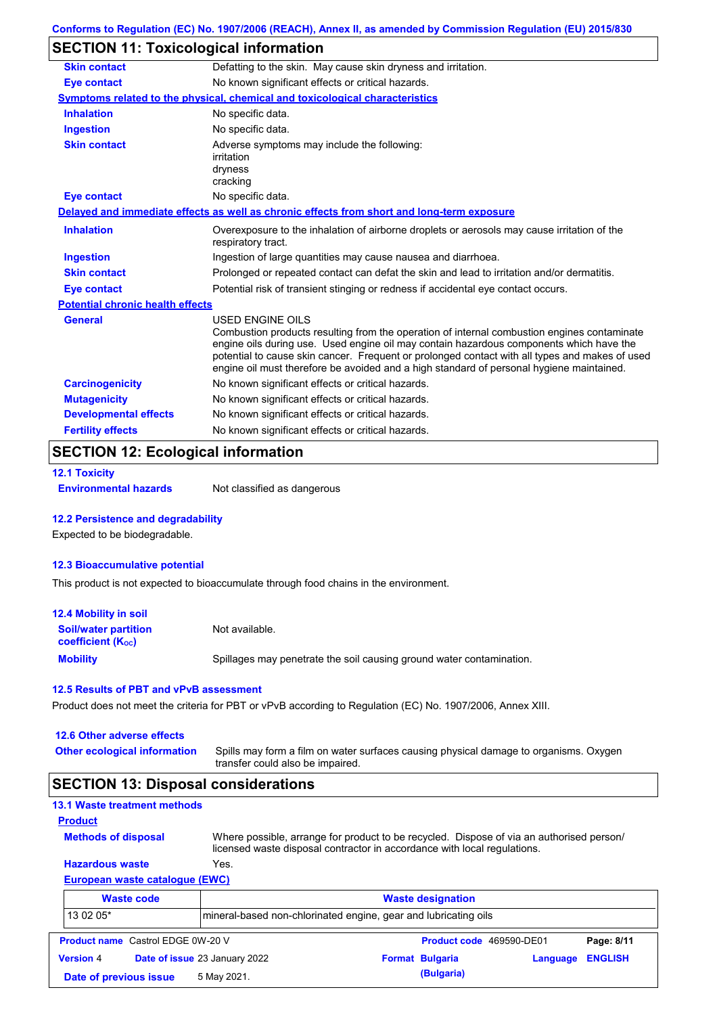## **SECTION 11: Toxicological information**

| <b>Skin contact</b>                     | Defatting to the skin. May cause skin dryness and irritation.                                                                                                                                                                                                                                                                                                                                                   |
|-----------------------------------------|-----------------------------------------------------------------------------------------------------------------------------------------------------------------------------------------------------------------------------------------------------------------------------------------------------------------------------------------------------------------------------------------------------------------|
| Eye contact                             | No known significant effects or critical hazards.                                                                                                                                                                                                                                                                                                                                                               |
|                                         | <b>Symptoms related to the physical, chemical and toxicological characteristics</b>                                                                                                                                                                                                                                                                                                                             |
| <b>Inhalation</b>                       | No specific data.                                                                                                                                                                                                                                                                                                                                                                                               |
| <b>Ingestion</b>                        | No specific data.                                                                                                                                                                                                                                                                                                                                                                                               |
| <b>Skin contact</b>                     | Adverse symptoms may include the following:<br>irritation<br>dryness<br>cracking                                                                                                                                                                                                                                                                                                                                |
| <b>Eye contact</b>                      | No specific data.                                                                                                                                                                                                                                                                                                                                                                                               |
|                                         | Delayed and immediate effects as well as chronic effects from short and long-term exposure                                                                                                                                                                                                                                                                                                                      |
| <b>Inhalation</b>                       | Overexposure to the inhalation of airborne droplets or aerosols may cause irritation of the<br>respiratory tract.                                                                                                                                                                                                                                                                                               |
| <b>Ingestion</b>                        | Ingestion of large quantities may cause nausea and diarrhoea.                                                                                                                                                                                                                                                                                                                                                   |
| <b>Skin contact</b>                     | Prolonged or repeated contact can defat the skin and lead to irritation and/or dermatitis.                                                                                                                                                                                                                                                                                                                      |
| <b>Eye contact</b>                      | Potential risk of transient stinging or redness if accidental eye contact occurs.                                                                                                                                                                                                                                                                                                                               |
| <b>Potential chronic health effects</b> |                                                                                                                                                                                                                                                                                                                                                                                                                 |
| General                                 | <b>USED ENGINE OILS</b><br>Combustion products resulting from the operation of internal combustion engines contaminate<br>engine oils during use. Used engine oil may contain hazardous components which have the<br>potential to cause skin cancer. Frequent or prolonged contact with all types and makes of used<br>engine oil must therefore be avoided and a high standard of personal hygiene maintained. |
| <b>Carcinogenicity</b>                  | No known significant effects or critical hazards.                                                                                                                                                                                                                                                                                                                                                               |
| <b>Mutagenicity</b>                     | No known significant effects or critical hazards.                                                                                                                                                                                                                                                                                                                                                               |
|                                         |                                                                                                                                                                                                                                                                                                                                                                                                                 |
| <b>Developmental effects</b>            | No known significant effects or critical hazards.                                                                                                                                                                                                                                                                                                                                                               |

# **SECTION 12: Ecological information**

```
12.1 Toxicity
```
**Environmental hazards** Not classified as dangerous

#### **12.2 Persistence and degradability**

Expected to be biodegradable.

#### **12.3 Bioaccumulative potential**

This product is not expected to bioaccumulate through food chains in the environment.

| <b>12.4 Mobility in soil</b>                                  |                                                                      |
|---------------------------------------------------------------|----------------------------------------------------------------------|
| <b>Soil/water partition</b><br>coefficient (K <sub>oc</sub> ) | Not available.                                                       |
| <b>Mobility</b>                                               | Spillages may penetrate the soil causing ground water contamination. |

#### **12.5 Results of PBT and vPvB assessment**

Product does not meet the criteria for PBT or vPvB according to Regulation (EC) No. 1907/2006, Annex XIII.

| 12.6 Other adverse effects |  |
|----------------------------|--|
|----------------------------|--|

| <b>Other ecological information</b> | Spills may form a film on water surfaces causing physical damage to organisms. Oxygen |
|-------------------------------------|---------------------------------------------------------------------------------------|
|                                     | transfer could also be impaired.                                                      |

## **SECTION 13: Disposal considerations**

| <b>13.1 Waste treatment methods</b>      |                                                                                                                                                                      |                          |          |                |
|------------------------------------------|----------------------------------------------------------------------------------------------------------------------------------------------------------------------|--------------------------|----------|----------------|
| <b>Product</b>                           |                                                                                                                                                                      |                          |          |                |
| <b>Methods of disposal</b>               | Where possible, arrange for product to be recycled. Dispose of via an authorised person/<br>licensed waste disposal contractor in accordance with local regulations. |                          |          |                |
| <b>Hazardous waste</b>                   | Yes.                                                                                                                                                                 |                          |          |                |
| European waste catalogue (EWC)           |                                                                                                                                                                      |                          |          |                |
| <b>Waste code</b>                        |                                                                                                                                                                      | <b>Waste designation</b> |          |                |
| 13 02 05*                                | mineral-based non-chlorinated engine, gear and lubricating oils                                                                                                      |                          |          |                |
| <b>Product name</b> Castrol EDGE 0W-20 V |                                                                                                                                                                      | Product code 469590-DE01 |          | Page: 8/11     |
| <b>Version 4</b>                         | Date of issue 23 January 2022                                                                                                                                        | <b>Format Bulgaria</b>   | Language | <b>ENGLISH</b> |
| Date of previous issue                   | 5 May 2021.                                                                                                                                                          | (Bulgaria)               |          |                |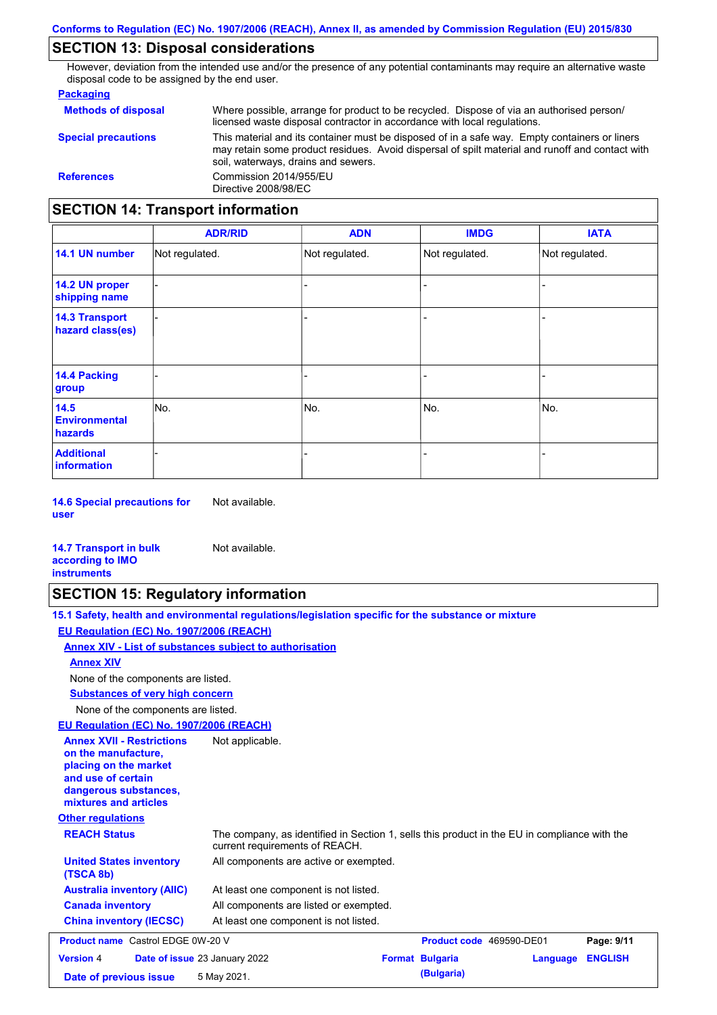## **SECTION 13: Disposal considerations**

However, deviation from the intended use and/or the presence of any potential contaminants may require an alternative waste disposal code to be assigned by the end user.

#### **Packaging**

| <b>SECTION 14: Transport information</b> |                                                                                                                                                                                                                                         |
|------------------------------------------|-----------------------------------------------------------------------------------------------------------------------------------------------------------------------------------------------------------------------------------------|
| <b>References</b>                        | Commission 2014/955/EU<br>Directive 2008/98/EC                                                                                                                                                                                          |
| <b>Special precautions</b>               | This material and its container must be disposed of in a safe way. Empty containers or liners<br>may retain some product residues. Avoid dispersal of spilt material and runoff and contact with<br>soil, waterways, drains and sewers. |
| <b>Methods of disposal</b>               | Where possible, arrange for product to be recycled. Dispose of via an authorised person/<br>licensed waste disposal contractor in accordance with local regulations.                                                                    |

#### - - - - - - - - - Not regulated. Not regulated. Not regulated. - - - **ADR/RID IMDG IATA 14.1 UN number 14.2 UN proper shipping name 14.3 Transport hazard class(es) 14.4 Packing group ADN Additional information 14.5 Environmental hazards** No. 1980 | No. 1980 | No. 1980 | No. 1980 | No. 1980 | No. 1980 | No. 1980 | No. 1980 | No. 1980 | No. 1980 | Not regulated. - No. - -

**14.6 Special precautions for user** Not available.

#### **14.7 Transport in bulk according to IMO instruments**

## **SECTION 15: Regulatory information**

Not available.

|                                                                                                                                                          | 15.1 Safety, health and environmental regulations/legislation specific for the substance or mixture |
|----------------------------------------------------------------------------------------------------------------------------------------------------------|-----------------------------------------------------------------------------------------------------|
| EU Regulation (EC) No. 1907/2006 (REACH)                                                                                                                 |                                                                                                     |
| Annex XIV - List of substances subject to authorisation                                                                                                  |                                                                                                     |
| <b>Annex XIV</b>                                                                                                                                         |                                                                                                     |
| None of the components are listed.                                                                                                                       |                                                                                                     |
| <b>Substances of very high concern</b>                                                                                                                   |                                                                                                     |
| None of the components are listed.                                                                                                                       |                                                                                                     |
| EU Regulation (EC) No. 1907/2006 (REACH)                                                                                                                 |                                                                                                     |
| <b>Annex XVII - Restrictions</b><br>on the manufacture.<br>placing on the market<br>and use of certain<br>dangerous substances,<br>mixtures and articles | Not applicable.                                                                                     |

**Other regulations**

| <b>REACH Status</b>                         | The company, as identified in Section 1, sells this product in the EU in compliance with the<br>current requirements of REACH. |
|---------------------------------------------|--------------------------------------------------------------------------------------------------------------------------------|
| <b>United States inventory</b><br>(TSCA 8b) | All components are active or exempted.                                                                                         |
| <b>Australia inventory (AIIC)</b>           | At least one component is not listed.                                                                                          |
| <b>Canada inventory</b>                     | All components are listed or exempted.                                                                                         |
| <b>China inventory (IECSC)</b>              | At least one component is not listed.                                                                                          |

| <b>Product name</b> Castrol EDGE 0W-20 V |  | Product code 469590-DE01             |  | Page: 9/11             |                         |  |
|------------------------------------------|--|--------------------------------------|--|------------------------|-------------------------|--|
| <b>Version 4</b>                         |  | <b>Date of issue 23 January 2022</b> |  | <b>Format Bulgaria</b> | <b>Language ENGLISH</b> |  |
| Date of previous issue                   |  | 5 May 2021.                          |  | (Bulgaria)             |                         |  |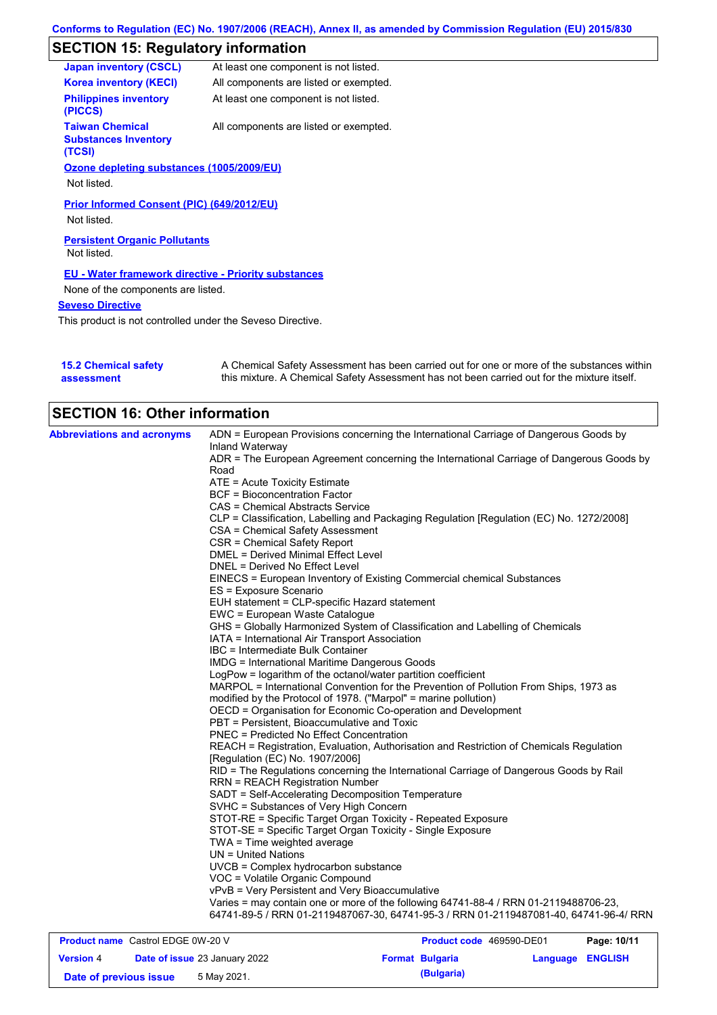# **SECTION 15: Regulatory information**

| <b>Japan inventory (CSCL)</b>                                   | At least one component is not listed.  |
|-----------------------------------------------------------------|----------------------------------------|
| <b>Korea inventory (KECI)</b>                                   | All components are listed or exempted. |
| <b>Philippines inventory</b><br>(PICCS)                         | At least one component is not listed.  |
| <b>Taiwan Chemical</b><br><b>Substances Inventory</b><br>(TCSI) | All components are listed or exempted. |
| Ozone depleting substances (1005/2009/EU)                       |                                        |
| Not listed.                                                     |                                        |
| Prior Informed Consent (PIC) (649/2012/EU)                      |                                        |
| Not listed.                                                     |                                        |
| <b>Persistent Organic Pollutants</b><br>Not listed.             |                                        |
| <b>EU - Water framework directive - Priority substances</b>     |                                        |
| None of the components are listed.                              |                                        |
| <b>Seveso Directive</b>                                         |                                        |
|                                                                 |                                        |

This product is not controlled under the Seveso Directive.

| <b>15.2 Chemical safety</b> | A Chemical Safety Assessment has been carried out for one or more of the substances within  |
|-----------------------------|---------------------------------------------------------------------------------------------|
| assessment                  | this mixture. A Chemical Safety Assessment has not been carried out for the mixture itself. |

| <b>SECTION 16: Other information</b>     |                                                                                                          |
|------------------------------------------|----------------------------------------------------------------------------------------------------------|
| <b>Abbreviations and acronyms</b>        | ADN = European Provisions concerning the International Carriage of Dangerous Goods by<br>Inland Waterway |
|                                          | ADR = The European Agreement concerning the International Carriage of Dangerous Goods by                 |
|                                          | Road                                                                                                     |
|                                          | ATE = Acute Toxicity Estimate                                                                            |
|                                          | <b>BCF</b> = Bioconcentration Factor                                                                     |
|                                          | CAS = Chemical Abstracts Service                                                                         |
|                                          | CLP = Classification, Labelling and Packaging Regulation [Regulation (EC) No. 1272/2008]                 |
|                                          | CSA = Chemical Safety Assessment                                                                         |
|                                          | CSR = Chemical Safety Report                                                                             |
|                                          | DMEL = Derived Minimal Effect Level                                                                      |
|                                          | DNEL = Derived No Effect Level                                                                           |
|                                          | EINECS = European Inventory of Existing Commercial chemical Substances                                   |
|                                          | ES = Exposure Scenario                                                                                   |
|                                          | EUH statement = CLP-specific Hazard statement                                                            |
|                                          | EWC = European Waste Catalogue                                                                           |
|                                          | GHS = Globally Harmonized System of Classification and Labelling of Chemicals                            |
|                                          | IATA = International Air Transport Association                                                           |
|                                          | IBC = Intermediate Bulk Container                                                                        |
|                                          | <b>IMDG</b> = International Maritime Dangerous Goods                                                     |
|                                          | LogPow = logarithm of the octanol/water partition coefficient                                            |
|                                          | MARPOL = International Convention for the Prevention of Pollution From Ships, 1973 as                    |
|                                          | modified by the Protocol of 1978. ("Marpol" = marine pollution)                                          |
|                                          | OECD = Organisation for Economic Co-operation and Development                                            |
|                                          | PBT = Persistent, Bioaccumulative and Toxic                                                              |
|                                          | PNEC = Predicted No Effect Concentration                                                                 |
|                                          | REACH = Registration, Evaluation, Authorisation and Restriction of Chemicals Regulation                  |
|                                          | [Regulation (EC) No. 1907/2006]                                                                          |
|                                          | RID = The Regulations concerning the International Carriage of Dangerous Goods by Rail                   |
|                                          | <b>RRN = REACH Registration Number</b>                                                                   |
|                                          | SADT = Self-Accelerating Decomposition Temperature                                                       |
|                                          | SVHC = Substances of Very High Concern                                                                   |
|                                          | STOT-RE = Specific Target Organ Toxicity - Repeated Exposure                                             |
|                                          | STOT-SE = Specific Target Organ Toxicity - Single Exposure                                               |
|                                          | $TWA = Time weighted average$                                                                            |
|                                          | $UN = United Nations$                                                                                    |
|                                          | UVCB = Complex hydrocarbon substance                                                                     |
|                                          | VOC = Volatile Organic Compound                                                                          |
|                                          | vPvB = Very Persistent and Very Bioaccumulative                                                          |
|                                          | Varies = may contain one or more of the following 64741-88-4 / RRN 01-2119488706-23,                     |
|                                          | 64741-89-5 / RRN 01-2119487067-30, 64741-95-3 / RRN 01-2119487081-40, 64741-96-4/ RRN                    |
| <b>Product name</b> Castrol EDGE 0W-20 V | Product code 469590-DE01<br>Page: 10/11                                                                  |

| <b>Product hame</b> Castrol EDGE UW-20 V |  |                                      | <b>Product code</b> 469590-DE01 | Page: 10/11            |                  |  |
|------------------------------------------|--|--------------------------------------|---------------------------------|------------------------|------------------|--|
| <b>Version 4</b>                         |  | <b>Date of issue 23 January 2022</b> |                                 | <b>Format Bulgaria</b> | Language ENGLISH |  |
| Date of previous issue                   |  | 5 May 2021.                          |                                 | (Bulgaria)             |                  |  |